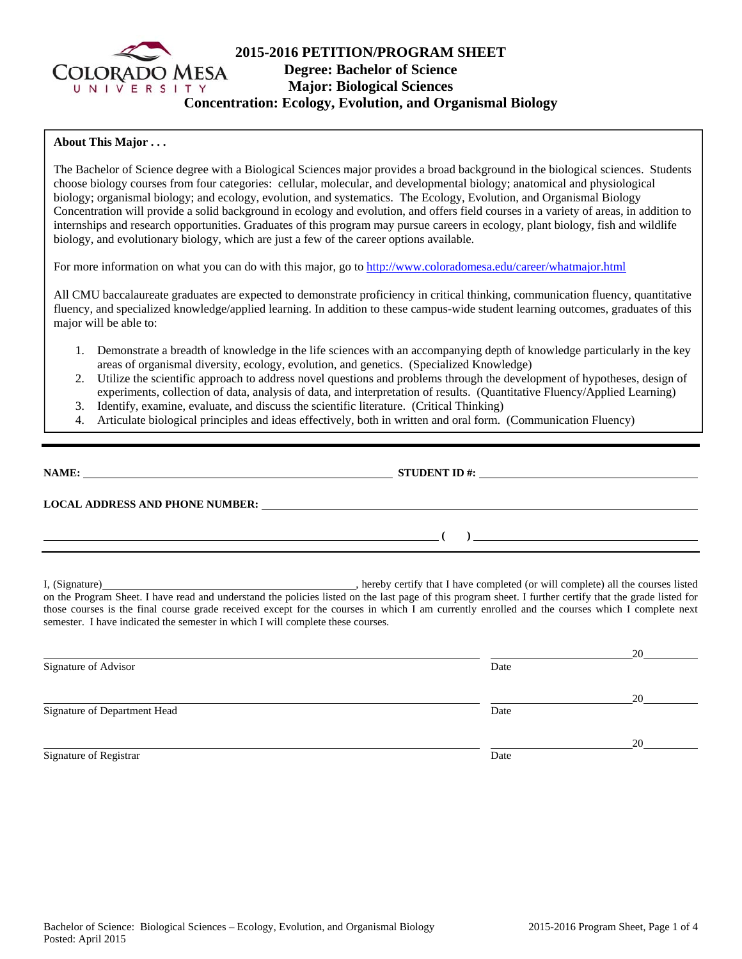

# **2015-2016 PETITION/PROGRAM SHEET Degree: Bachelor of Science Major: Biological Sciences Concentration: Ecology, Evolution, and Organismal Biology**

### **About This Major . . .**

The Bachelor of Science degree with a Biological Sciences major provides a broad background in the biological sciences. Students choose biology courses from four categories: cellular, molecular, and developmental biology; anatomical and physiological biology; organismal biology; and ecology, evolution, and systematics. The Ecology, Evolution, and Organismal Biology Concentration will provide a solid background in ecology and evolution, and offers field courses in a variety of areas, in addition to internships and research opportunities. Graduates of this program may pursue careers in ecology, plant biology, fish and wildlife biology, and evolutionary biology, which are just a few of the career options available.

For more information on what you can do with this major, go to http://www.coloradomesa.edu/career/whatmajor.html

All CMU baccalaureate graduates are expected to demonstrate proficiency in critical thinking, communication fluency, quantitative fluency, and specialized knowledge/applied learning. In addition to these campus-wide student learning outcomes, graduates of this major will be able to:

- 1. Demonstrate a breadth of knowledge in the life sciences with an accompanying depth of knowledge particularly in the key areas of organismal diversity, ecology, evolution, and genetics. (Specialized Knowledge)
- 2. Utilize the scientific approach to address novel questions and problems through the development of hypotheses, design of experiments, collection of data, analysis of data, and interpretation of results. (Quantitative Fluency/Applied Learning)
- 3. Identify, examine, evaluate, and discuss the scientific literature. (Critical Thinking)
- 4. Articulate biological principles and ideas effectively, both in written and oral form. (Communication Fluency)

| <b>NAME:</b>                           | <b>STUDENT ID #:</b> |  |
|----------------------------------------|----------------------|--|
| <b>LOCAL ADDRESS AND PHONE NUMBER:</b> |                      |  |
|                                        |                      |  |

I, (Signature) , hereby certify that I have completed (or will complete) all the courses listed on the Program Sheet. I have read and understand the policies listed on the last page of this program sheet. I further certify that the grade listed for those courses is the final course grade received except for the courses in which I am currently enrolled and the courses which I complete next semester. I have indicated the semester in which I will complete these courses.

|                              |      | 20 |
|------------------------------|------|----|
| Signature of Advisor         | Date |    |
|                              |      | 20 |
| Signature of Department Head | Date |    |
|                              |      | 20 |
| Signature of Registrar       | Date |    |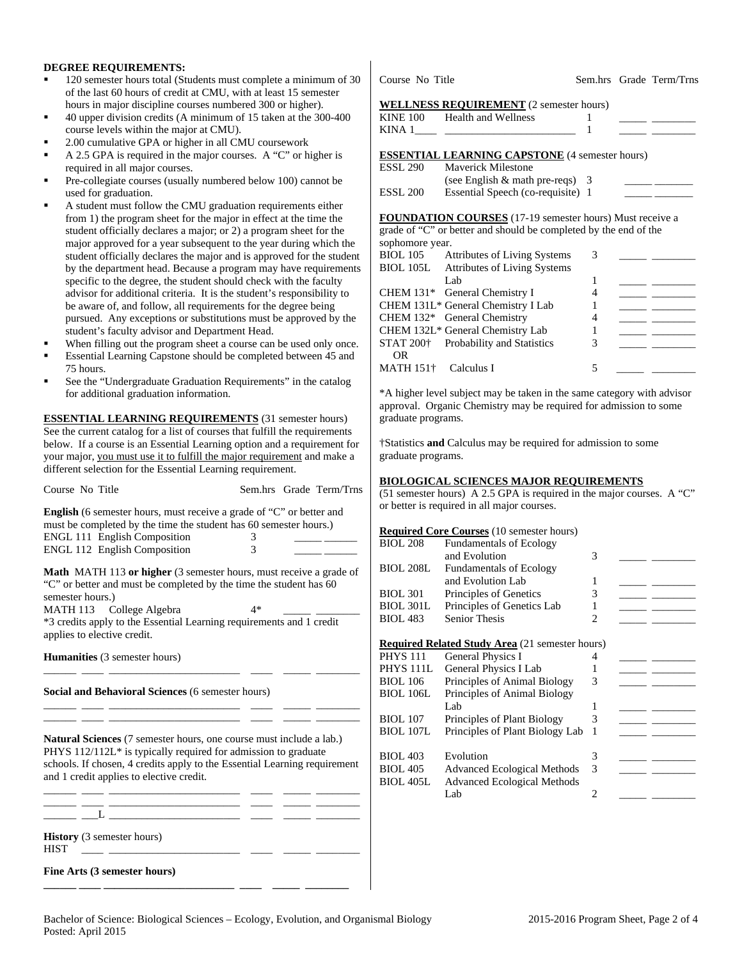### **DEGREE REQUIREMENTS:**

- 120 semester hours total (Students must complete a minimum of 30 of the last 60 hours of credit at CMU, with at least 15 semester hours in major discipline courses numbered 300 or higher).
- 40 upper division credits (A minimum of 15 taken at the 300-400 course levels within the major at CMU).
- 2.00 cumulative GPA or higher in all CMU coursework
- A 2.5 GPA is required in the major courses. A "C" or higher is required in all major courses.
- Pre-collegiate courses (usually numbered below 100) cannot be used for graduation.
- A student must follow the CMU graduation requirements either from 1) the program sheet for the major in effect at the time the student officially declares a major; or 2) a program sheet for the major approved for a year subsequent to the year during which the student officially declares the major and is approved for the student by the department head. Because a program may have requirements specific to the degree, the student should check with the faculty advisor for additional criteria. It is the student's responsibility to be aware of, and follow, all requirements for the degree being pursued. Any exceptions or substitutions must be approved by the student's faculty advisor and Department Head.
- When filling out the program sheet a course can be used only once.
- Essential Learning Capstone should be completed between 45 and 75 hours.
- See the "Undergraduate Graduation Requirements" in the catalog for additional graduation information.

**ESSENTIAL LEARNING REQUIREMENTS** (31 semester hours) See the current catalog for a list of courses that fulfill the requirements below. If a course is an Essential Learning option and a requirement for your major, you must use it to fulfill the major requirement and make a different selection for the Essential Learning requirement.

| Course No Title                                                                                                                                                                                                                                                                                        |        | Sem.hrs Grade Term/Trns |
|--------------------------------------------------------------------------------------------------------------------------------------------------------------------------------------------------------------------------------------------------------------------------------------------------------|--------|-------------------------|
| <b>English</b> (6 semester hours, must receive a grade of "C" or better and<br>must be completed by the time the student has 60 semester hours.)<br><b>ENGL 111 English Composition</b><br><b>ENGL 112 English Composition</b>                                                                         | 3<br>3 |                         |
| <b>Math</b> MATH 113 or higher (3 semester hours, must receive a grade of<br>"C" or better and must be completed by the time the student has 60<br>semester hours.)<br>MATH 113 College Algebra<br>*3 credits apply to the Essential Learning requirements and 1 credit<br>applies to elective credit. | 4*     |                         |
| <b>Humanities</b> (3 semester hours)                                                                                                                                                                                                                                                                   |        |                         |
| the control of the control of the control of the control of<br>Social and Behavioral Sciences (6 semester hours)                                                                                                                                                                                       |        |                         |
| <b>Natural Sciences</b> (7 semester hours, one course must include a lab.)<br>PHYS 112/112L* is typically required for admission to graduate<br>schools. If chosen, 4 credits apply to the Essential Learning requirement<br>and 1 credit applies to elective credit.                                  |        |                         |
| $\begin{array}{c} \begin{array}{c} \begin{array}{c} \end{array} \end{array}$ $\begin{array}{c} \begin{array}{c} \end{array} \end{array}$ $\begin{array}{c} \begin{array}{c} \end{array} \end{array}$                                                                                                   |        |                         |
| History (3 semester hours)<br><b>HIST</b><br><u> 1999 - Johann Stein, markin sammann an d</u>                                                                                                                                                                                                          |        |                         |
| Fine Arts (3 semester hours)                                                                                                                                                                                                                                                                           |        |                         |

Course No Title Sem.hrs Grade Term/Trns

#### **WELLNESS REQUIREMENT** (2 semester hours)

|                  | WELLNESS REQUIREMENT (2 semester hours)                          |   |                                                                 |
|------------------|------------------------------------------------------------------|---|-----------------------------------------------------------------|
| <b>KINE 100</b>  | <b>Health and Wellness</b>                                       |   |                                                                 |
|                  | KINA 1                                                           |   |                                                                 |
|                  |                                                                  |   |                                                                 |
|                  | <b>ESSENTIAL LEARNING CAPSTONE</b> (4 semester hours)            |   |                                                                 |
| <b>ESSL 290</b>  | <b>Maverick Milestone</b>                                        |   |                                                                 |
|                  | (see English $&$ math pre-reqs) 3                                |   |                                                                 |
| <b>ESSL 200</b>  | Essential Speech (co-requisite) 1                                |   |                                                                 |
|                  |                                                                  |   |                                                                 |
|                  | FOUNDATION COURSES (17-19 semester hours) Must receive a         |   |                                                                 |
|                  | grade of "C" or better and should be completed by the end of the |   |                                                                 |
| sophomore year.  |                                                                  |   |                                                                 |
| <b>BIOL 105</b>  | Attributes of Living Systems                                     | 3 |                                                                 |
|                  | BIOL 105L Attributes of Living Systems                           |   |                                                                 |
|                  | Lab                                                              | 1 |                                                                 |
|                  | CHEM 131* General Chemistry I                                    | 4 |                                                                 |
|                  | CHEM 131L* General Chemistry I Lab                               | 1 | <u> 1989 - Jan Barbara Barat III a Shekara Tanzania a Tsara</u> |
| <b>CHEM 132*</b> | General Chemistry                                                | 4 |                                                                 |
|                  | CHEM 132L* General Chemistry Lab                                 | 1 |                                                                 |
|                  | STAT 200 <sup>†</sup> Probability and Statistics                 | 3 |                                                                 |
| 0R               |                                                                  |   |                                                                 |
| MATH 151†        | Calculus I                                                       | 5 |                                                                 |

\*A higher level subject may be taken in the same category with advisor approval. Organic Chemistry may be required for admission to some graduate programs.

†Statistics **and** Calculus may be required for admission to some graduate programs.

#### **BIOLOGICAL SCIENCES MAJOR REQUIREMENTS**

(51 semester hours) A 2.5 GPA is required in the major courses. A "C" or better is required in all major courses.

|                      | <b>Required Core Courses</b> (10 semester hours)       |                |  |
|----------------------|--------------------------------------------------------|----------------|--|
| <b>BIOL 208</b>      | <b>Fundamentals of Ecology</b>                         |                |  |
|                      | and Evolution                                          | 3              |  |
| <b>BIOL 208L</b>     | <b>Fundamentals of Ecology</b>                         |                |  |
|                      | and Evolution Lab                                      | 1              |  |
| <b>BIOL 301</b>      | Principles of Genetics                                 | 3              |  |
| <b>BIOL 301L</b>     | Principles of Genetics Lab                             | 1              |  |
| <b>BIOL 483</b>      | <b>Senior Thesis</b>                                   | 2              |  |
|                      |                                                        |                |  |
|                      | <b>Required Related Study Area</b> (21 semester hours) |                |  |
| <b>PHYS 111</b>      | General Physics I                                      | 4              |  |
| PHYS <sub>111L</sub> | General Physics I Lab                                  | 1              |  |
| <b>BIOL 106</b>      | Principles of Animal Biology                           | 3              |  |
| <b>BIOL 106L</b>     | Principles of Animal Biology                           |                |  |
|                      | Lab                                                    | 1              |  |
| <b>BIOL 107</b>      | Principles of Plant Biology                            | 3              |  |
| <b>BIOL 107L</b>     | Principles of Plant Biology Lab                        | 1              |  |
|                      |                                                        |                |  |
| <b>BIOL 403</b>      | Evolution                                              | 3              |  |
| <b>BIOL 405</b>      | <b>Advanced Ecological Methods</b>                     | 3              |  |
| <b>BIOL 405L</b>     | <b>Advanced Ecological Methods</b>                     |                |  |
|                      | Lab                                                    | $\overline{c}$ |  |
|                      |                                                        |                |  |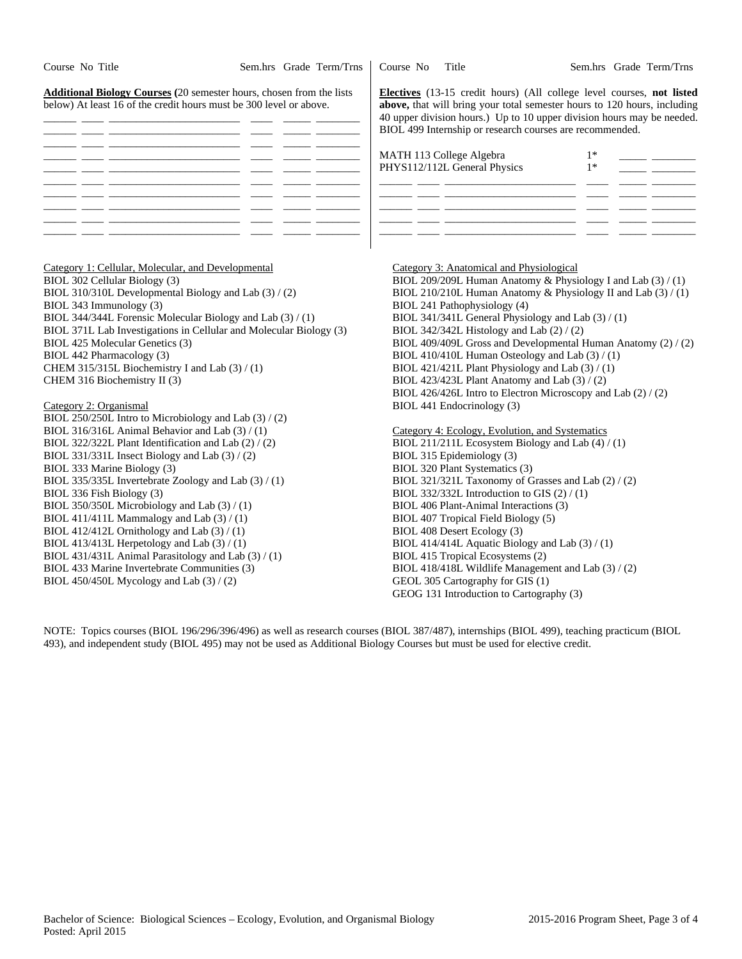| Course No Title                                                                                                                                                                                                                                                                                                                                                                                                                                                                                                                                                                                                                                                                            | Sem.hrs Grade Term/Trns | Course No                                                                                                                                                                                                                                                                               | Title                                                                                                                                                                                                                                                                                                                                                                                                                                                                                                                                                                                                                                 |              | Sem.hrs Grade Term/Trns |
|--------------------------------------------------------------------------------------------------------------------------------------------------------------------------------------------------------------------------------------------------------------------------------------------------------------------------------------------------------------------------------------------------------------------------------------------------------------------------------------------------------------------------------------------------------------------------------------------------------------------------------------------------------------------------------------------|-------------------------|-----------------------------------------------------------------------------------------------------------------------------------------------------------------------------------------------------------------------------------------------------------------------------------------|---------------------------------------------------------------------------------------------------------------------------------------------------------------------------------------------------------------------------------------------------------------------------------------------------------------------------------------------------------------------------------------------------------------------------------------------------------------------------------------------------------------------------------------------------------------------------------------------------------------------------------------|--------------|-------------------------|
| <b>Additional Biology Courses</b> (20 semester hours, chosen from the lists<br>below) At least 16 of the credit hours must be 300 level or above.                                                                                                                                                                                                                                                                                                                                                                                                                                                                                                                                          |                         | Electives (13-15 credit hours) (All college level courses, not listed<br>above, that will bring your total semester hours to 120 hours, including<br>40 upper division hours.) Up to 10 upper division hours may be needed.<br>BIOL 499 Internship or research courses are recommended. |                                                                                                                                                                                                                                                                                                                                                                                                                                                                                                                                                                                                                                       |              |                         |
|                                                                                                                                                                                                                                                                                                                                                                                                                                                                                                                                                                                                                                                                                            | ___ ________ ____       |                                                                                                                                                                                                                                                                                         | MATH 113 College Algebra<br>PHYS112/112L General Physics                                                                                                                                                                                                                                                                                                                                                                                                                                                                                                                                                                              | $1*$<br>$1*$ |                         |
| Category 1: Cellular, Molecular, and Developmental<br>BIOL 302 Cellular Biology (3)<br>BIOL 310/310L Developmental Biology and Lab (3) / (2)<br>BIOL 343 Immunology (3)<br>BIOL 344/344L Forensic Molecular Biology and Lab (3) / (1)<br>BIOL 371L Lab Investigations in Cellular and Molecular Biology (3)<br>BIOL 425 Molecular Genetics (3)<br>BIOL 442 Pharmacology (3)<br>CHEM 315/315L Biochemistry I and Lab (3) / (1)<br>CHEM 316 Biochemistry II (3)<br>Category 2: Organismal                                                                                                                                                                                                    |                         |                                                                                                                                                                                                                                                                                         | Category 3: Anatomical and Physiological<br>BIOL 209/209L Human Anatomy & Physiology I and Lab $(3) / (1)$<br>BIOL 210/210L Human Anatomy & Physiology II and Lab (3) / (1)<br>BIOL 241 Pathophysiology (4)<br>BIOL 341/341L General Physiology and Lab (3) / (1)<br>BIOL 342/342L Histology and Lab (2) / (2)<br>BIOL 409/409L Gross and Developmental Human Anatomy (2) / (2)<br>BIOL 410/410L Human Osteology and Lab (3) / (1)<br>BIOL 421/421L Plant Physiology and Lab (3) / (1)<br>BIOL 423/423L Plant Anatomy and Lab (3) / (2)<br>BIOL 426/426L Intro to Electron Microscopy and Lab (2) / (2)<br>BIOL 441 Endocrinology (3) |              |                         |
| BIOL 250/250L Intro to Microbiology and Lab (3) / (2)<br>BIOL 316/316L Animal Behavior and Lab (3) / (1)<br>BIOL 322/322L Plant Identification and Lab (2) / (2)<br>BIOL 331/331L Insect Biology and Lab $(3) / (2)$<br>BIOL 333 Marine Biology (3)<br>BIOL 335/335L Invertebrate Zoology and Lab (3) / (1)<br>BIOL 336 Fish Biology (3)<br>BIOL 350/350L Microbiology and Lab (3) / (1)<br>BIOL 411/411L Mammalogy and Lab $(3) / (1)$<br>BIOL 412/412L Ornithology and Lab $(3) / (1)$<br>BIOL 413/413L Herpetology and Lab (3) / (1)<br>BIOL 431/431L Animal Parasitology and Lab (3) / (1)<br>BIOL 433 Marine Invertebrate Communities (3)<br>BIOL 450/450L Mycology and Lab (3) / (2) |                         |                                                                                                                                                                                                                                                                                         | Category 4: Ecology, Evolution, and Systematics<br>BIOL 211/211L Ecosystem Biology and Lab (4) / (1)<br>BIOL 315 Epidemiology (3)<br>BIOL 320 Plant Systematics (3)<br>BIOL 321/321L Taxonomy of Grasses and Lab (2) / (2)<br>BIOL 332/332L Introduction to GIS $(2) / (1)$<br>BIOL 406 Plant-Animal Interactions (3)<br>BIOL 407 Tropical Field Biology (5)<br>BIOL 408 Desert Ecology (3)<br>BIOL 414/414L Aquatic Biology and Lab (3) / (1)<br>BIOL 415 Tropical Ecosystems (2)<br>BIOL 418/418L Wildlife Management and Lab (3) / (2)<br>GEOL 305 Cartography for GIS (1)<br>GEOG 131 Introduction to Cartography (3)             |              |                         |

NOTE: Topics courses (BIOL 196/296/396/496) as well as research courses (BIOL 387/487), internships (BIOL 499), teaching practicum (BIOL 493), and independent study (BIOL 495) may not be used as Additional Biology Courses but must be used for elective credit.